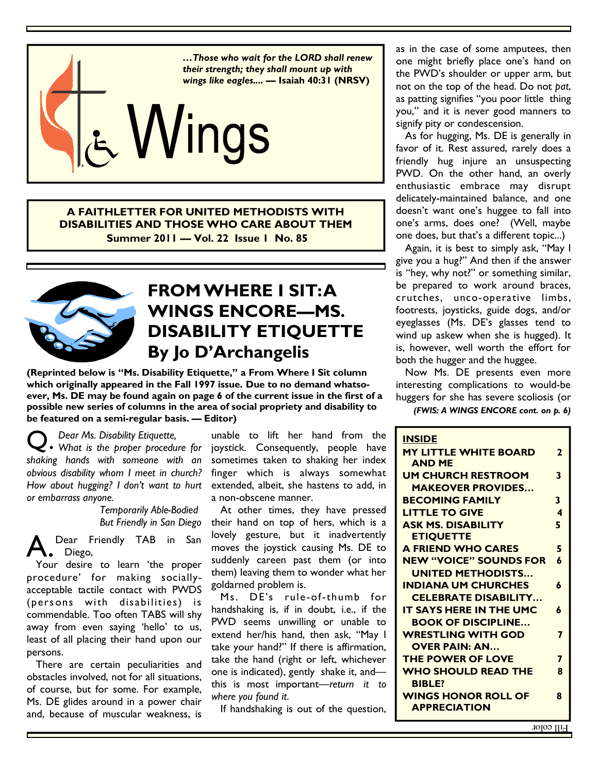

**A FAITHLETTER FOR UNITED METHODISTS WITH DISABILITIES AND THOSE WHO CARE ABOUT THEM Summer 2011 — Vol. 22 Issue 1 No. 85** 



# **FROM WHERE I SIT: A WINGS ENCORE—MS. DISABILITY ETIQUETTE By Jo D'Archangelis**

**(Reprinted below is "Ms. Disability Etiquette," a From Where I Sit column which originally appeared in the Fall 1997 issue. Due to no demand whatsoever, Ms. DE may be found again on page 6 of the current issue in the first of a possible new series of columns in the area of social propriety and disability to be featured on a semi-regular basis. — Editor)** 

Q. *Dear Ms. Disability Etiquette, What is the proper procedure for shaking hands with someone with an obvious disability whom I meet in church? How about hugging? I don't want to hurt or embarrass anyone.* 

> *Temporarily Able-Bodied But Friendly in San Diego*

Dear Friendly TAB in San Diego,

 Your desire to learn 'the proper procedure' for making sociallyacceptable tactile contact with PWDS (persons with disabilities) is commendable. Too often TABS will shy away from even saying 'hello' to us, least of all placing their hand upon our persons.

 There are certain peculiarities and obstacles involved, not for all situations, of course, but for some. For example, Ms. DE glides around in a power chair and, because of muscular weakness, is

unable to lift her hand from the joystick. Consequently, people have sometimes taken to shaking her index finger which is always somewhat extended, albeit, she hastens to add, in a non-obscene manner.

 At other times, they have pressed their hand on top of hers, which is a lovely gesture, but it inadvertently moves the joystick causing Ms. DE to suddenly careen past them (or into them) leaving them to wonder what her goldarned problem is.

 Ms. DE's rule-of-thumb for handshaking is, if in doubt, i.e., if the PWD seems unwilling or unable to extend her/his hand, then ask, "May I take your hand?" If there is affirmation, take the hand (right or left, whichever one is indicated), gently shake it, and this is most important—*return it to where you found it*.

If handshaking is out of the question,

as in the case of some amputees, then one might briefly place one's hand on the PWD's shoulder or upper arm, but not on the top of the head. Do not *pat*, as patting signifies "you poor little thing you," and it is never good manners to signify pity or condescension.

 As for hugging, Ms. DE is generally in favor of it. Rest assured, rarely does a friendly hug injure an unsuspecting PWD. On the other hand, an overly enthusiastic embrace may disrupt delicately-maintained balance, and one doesn't want one's huggee to fall into one's arms, does one? (Well, maybe one does, but that's a different topic...)

 Again, it is best to simply ask, "May I give you a hug?" And then if the answer is "hey, why not?" or something similar, be prepared to work around braces, crutches, unco-operative limbs, footrests, joysticks, guide dogs, and/or eyeglasses (Ms. DE's glasses tend to wind up askew when she is hugged). It is, however, well worth the effort for both the hugger and the huggee.

 Now Ms. DE presents even more interesting complications to would-be huggers for she has severe scoliosis (or

*(FWIS: A WINGS ENCORE cont. on p. 6)* 

| <b>INSIDE</b>                  |                         |
|--------------------------------|-------------------------|
| <b>MY LITTLE WHITE BOARD</b>   | $\mathbf{2}$            |
| <b>AND ME</b>                  |                         |
| <b>UM CHURCH RESTROOM</b>      | 3                       |
| <b>MAKEOVER PROVIDES</b>       |                         |
| <b>BECOMING FAMILY</b>         | 3                       |
| <b>LITTLE TO GIVE</b>          | $\overline{\mathbf{A}}$ |
| <b>ASK MS. DISABILITY</b>      | 5                       |
| <b>ETIQUETTE</b>               |                         |
| <b>A FRIEND WHO CARES</b>      | 5                       |
| <b>NEW "VOICE" SOUNDS FOR</b>  | 6                       |
| <b>UNITED METHODISTS</b>       |                         |
| <b>INDIANA UM CHURCHES</b>     | 6                       |
| <b>CELEBRATE DISABILITY</b>    |                         |
| <b>IT SAYS HERE IN THE UMC</b> | 6                       |
| <b>BOOK OF DISCIPLINE</b>      |                         |
| <b>WRESTLING WITH GOD</b>      | 7                       |
| <b>OVER PAIN: AN</b>           |                         |
| <b>THE POWER OF LOVE</b>       | 7                       |
| <b>WHO SHOULD READ THE</b>     | 8                       |
| <b>BIBLE?</b>                  |                         |
| <b>WINGS HONOR ROLL OF</b>     | Զ                       |
| <b>APPRECIATION</b>            |                         |
|                                |                         |

Fill color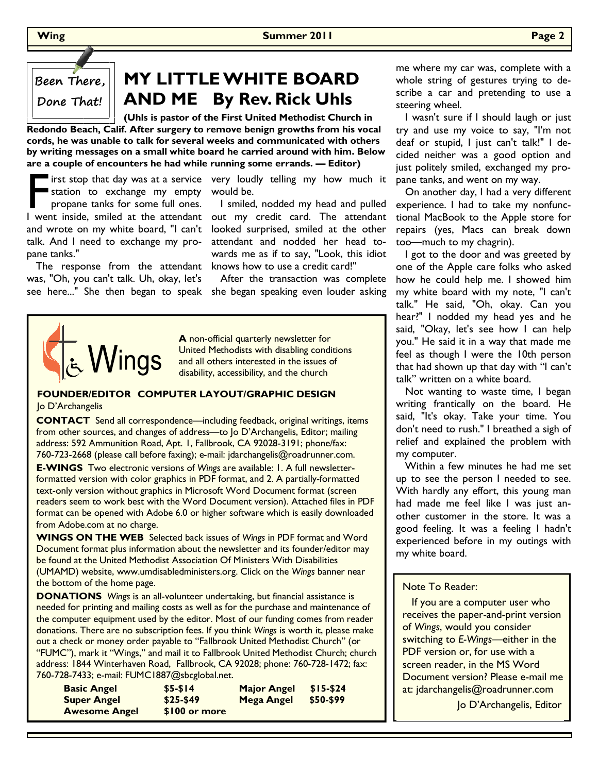## **MY LITTLE WHITE BOARD AND ME By Rev. Rick Uhls**

 **(Uhls is pastor of the First United Methodist Church in Redondo Beach, Calif. After surgery to remove benign growths from his vocal cords, he was unable to talk for several weeks and communicated with others by writing messages on a small white board he carried around with him. Below are a couple of encounters he had while running some errands. — Editor)** 

F irst stop that day was at a service<br>station to exchange my empty<br>propane tanks for some full ones.<br>I went inside, smiled at the attendant station to exchange my empty propane tanks for some full ones. talk. And I need to exchange my propane tanks."

The response from the attendant knows how to use a credit card!" was, "Oh, you can't talk. Uh, okay, let's

irst stop that day was at a service very loudly telling my how much it would be.

 I smiled, nodded my head and pulled I went inside, smiled at the attendant out my credit card. The attendant and wrote on my white board, "I can't looked surprised, smiled at the other attendant and nodded her head towards me as if to say, "Look, this idiot

 After the transaction was complete see here..." She then began to speak she began speaking even louder asking



**A** non-official quarterly newsletter for United Methodists with disabling conditions and all others interested in the issues of disability, accessibility, and the church

#### **FOUNDER/EDITOR COMPUTER LAYOUT/GRAPHIC DESIGN**  Jo D'Archangelis

**CONTACT** Send all correspondence—including feedback, original writings, items from other sources, and changes of address—to Jo D'Archangelis, Editor; mailing address: 592 Ammunition Road, Apt. 1, Fallbrook, CA 92028-3191; phone/fax: 760-723-2668 (please call before faxing); e-mail: jdarchangelis@roadrunner.com.

**E-WINGS** Two electronic versions of *Wings* are available: 1. A full newsletterformatted version with color graphics in PDF format, and 2. A partially-formatted text-only version without graphics in Microsoft Word Document format (screen readers seem to work best with the Word Document version). Attached files in PDF format can be opened with Adobe 6.0 or higher software which is easily downloaded from Adobe.com at no charge.

**WINGS ON THE WEB** Selected back issues of *Wings* in PDF format and Word Document format plus information about the newsletter and its founder/editor may be found at the United Methodist Association Of Ministers With Disabilities (UMAMD) website, www.umdisabledministers.org. Click on the *Wings* banner near the bottom of the home page.

**DONATIONS** *Wings* is an all-volunteer undertaking, but financial assistance is needed for printing and mailing costs as well as for the purchase and maintenance of the computer equipment used by the editor. Most of our funding comes from reader donations. There are no subscription fees. If you think *Wings* is worth it, please make out a check or money order payable to "Fallbrook United Methodist Church" (or "FUMC"), mark it "Wings," and mail it to Fallbrook United Methodist Church; church address: 1844 Winterhaven Road, Fallbrook, CA 92028; phone: 760-728-1472; fax: 760-728-7433; e-mail: FUMC1887@sbcglobal.net.

| <b>Basic Angel</b>   | $$5-514$      | <b>Major Angel</b> | $$15-524$ |
|----------------------|---------------|--------------------|-----------|
| <b>Super Angel</b>   | $$25-$49$     | Mega Angel         | \$50-\$99 |
| <b>Awesome Angel</b> | \$100 or more |                    |           |

me where my car was, complete with a whole string of gestures trying to describe a car and pretending to use a steering wheel.

 I wasn't sure if I should laugh or just try and use my voice to say, "I'm not deaf or stupid, I just can't talk!" I decided neither was a good option and just politely smiled, exchanged my propane tanks, and went on my way.

 On another day, I had a very different experience. I had to take my nonfunctional MacBook to the Apple store for repairs (yes, Macs can break down too—much to my chagrin).

 I got to the door and was greeted by one of the Apple care folks who asked how he could help me. I showed him my white board with my note, "I can't talk." He said, "Oh, okay. Can you hear?" I nodded my head yes and he said, "Okay, let's see how I can help you." He said it in a way that made me feel as though I were the 10th person that had shown up that day with "I can't talk" written on a white board.

 Not wanting to waste time, I began writing frantically on the board. He said, "It's okay. Take your time. You don't need to rush." I breathed a sigh of relief and explained the problem with my computer.

 Within a few minutes he had me set up to see the person I needed to see. With hardly any effort, this young man had made me feel like I was just another customer in the store. It was a good feeling. It was a feeling I hadn't experienced before in my outings with my white board.

#### Note To Reader:

 If you are a computer user who receives the paper-and-print version of *Wings*, would you consider switching to *E-Wings—*either in the PDF version or, for use with a screen reader, in the MS Word Document version? Please e-mail me at: jdarchangelis@roadrunner.com

Jo D'Archangelis, Editor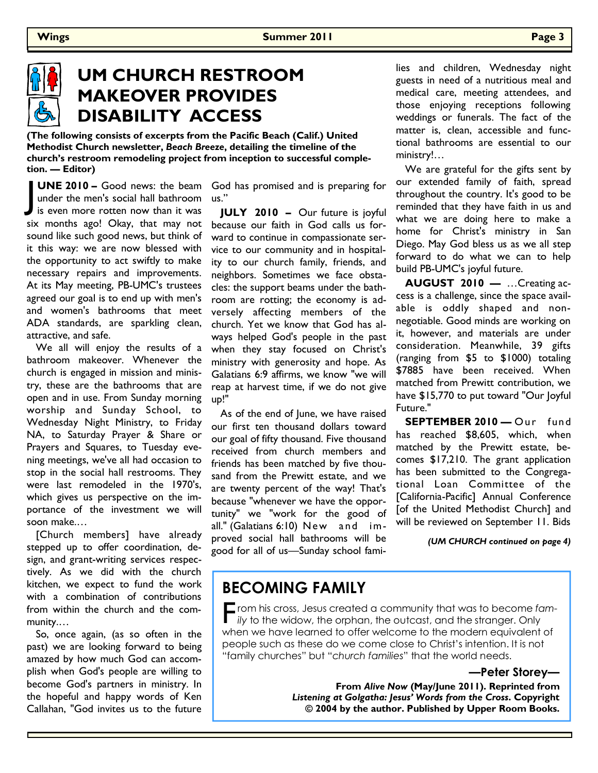

# **UM CHURCH RESTROOM MAKEOVER PROVIDES DISABILITY ACCESS**

**(The following consists of excerpts from the Pacific Beach (Calif.) United Methodist Church newsletter,** *Beach Breeze***, detailing the timeline of the church's restroom remodeling project from inception to successful completion. — Editor)** 

**UNE 2010 –** Good news: the beam<br>under the men's social hall bathroom<br>is even more rotten now than it was under the men's social hall bathroom  $\blacksquare$  is even more rotten now than it was six months ago! Okay, that may not sound like such good news, but think of it this way: we are now blessed with the opportunity to act swiftly to make necessary repairs and improvements. At its May meeting, PB-UMC's trustees agreed our goal is to end up with men's and women's bathrooms that meet ADA standards, are sparkling clean, attractive, and safe. UNE 2010 – Good news: the beam God has promised and is preparing for

 We all will enjoy the results of a bathroom makeover. Whenever the church is engaged in mission and ministry, these are the bathrooms that are open and in use. From Sunday morning up!" worship and Sunday School, to Wednesday Night Ministry, to Friday NA, to Saturday Prayer & Share or Prayers and Squares, to Tuesday evening meetings, we've all had occasion to stop in the social hall restrooms. They were last remodeled in the 1970's, which gives us perspective on the importance of the investment we will soon make.…

 [Church members] have already stepped up to offer coordination, design, and grant-writing services respectively. As we did with the church kitchen, we expect to fund the work with a combination of contributions from within the church and the community.…

 So, once again, (as so often in the past) we are looking forward to being amazed by how much God can accomplish when God's people are willing to become God's partners in ministry. In the hopeful and happy words of Ken Callahan, "God invites us to the future

us."

 **JULY 2010 –** Our future is joyful because our faith in God calls us forward to continue in compassionate service to our community and in hospitality to our church family, friends, and neighbors. Sometimes we face obstacles: the support beams under the bathroom are rotting; the economy is adversely affecting members of the church. Yet we know that God has always helped God's people in the past when they stay focused on Christ's ministry with generosity and hope. As Galatians 6:9 affirms, we know "we will reap at harvest time, if we do not give

 As of the end of June, we have raised our first ten thousand dollars toward our goal of fifty thousand. Five thousand received from church members and friends has been matched by five thousand from the Prewitt estate, and we are twenty percent of the way! That's because "whenever we have the opportunity" we "work for the good of all." (Galatians 6:10) New and improved social hall bathrooms will be good for all of us—Sunday school families and children, Wednesday night guests in need of a nutritious meal and medical care, meeting attendees, and those enjoying receptions following weddings or funerals. The fact of the matter is, clean, accessible and functional bathrooms are essential to our ministry!…

 We are grateful for the gifts sent by our extended family of faith, spread throughout the country. It's good to be reminded that they have faith in us and what we are doing here to make a home for Christ's ministry in San Diego. May God bless us as we all step forward to do what we can to help build PB-UMC's joyful future.

 **AUGUST 2010 —** …Creating access is a challenge, since the space available is oddly shaped and nonnegotiable. Good minds are working on it, however, and materials are under consideration. Meanwhile, 39 gifts (ranging from \$5 to \$1000) totaling \$7885 have been received. When matched from Prewitt contribution, we have \$15,770 to put toward "Our Joyful Future."

**SEPTEMBER 2010 — Our fund** has reached \$8,605, which, when matched by the Prewitt estate, becomes \$17,210. The grant application has been submitted to the Congregational Loan Committee of the [California-Pacific] Annual Conference [of the United Methodist Church] and will be reviewed on September 11. Bids

*(UM CHURCH continued on page 4)* 

### **BECOMING FAMILY**

**F** rom his cross, Jesus created a community that was to become fam-<br> *ily* to the widow, the orphan, the outcast, and the stranger. Only when we have learned to offer welcome to the modern equivalent of people such as these do we come close to Christ's intention. It is not "family churches" but "*church families*" that the world needs.

**—Peter Storey—**

**From** *Alive Now* **(May/June 2011). Reprinted from**  *Listening at Golgatha: Jesus' Words from the Cross***. Copyright © 2004 by the author. Published by Upper Room Books.**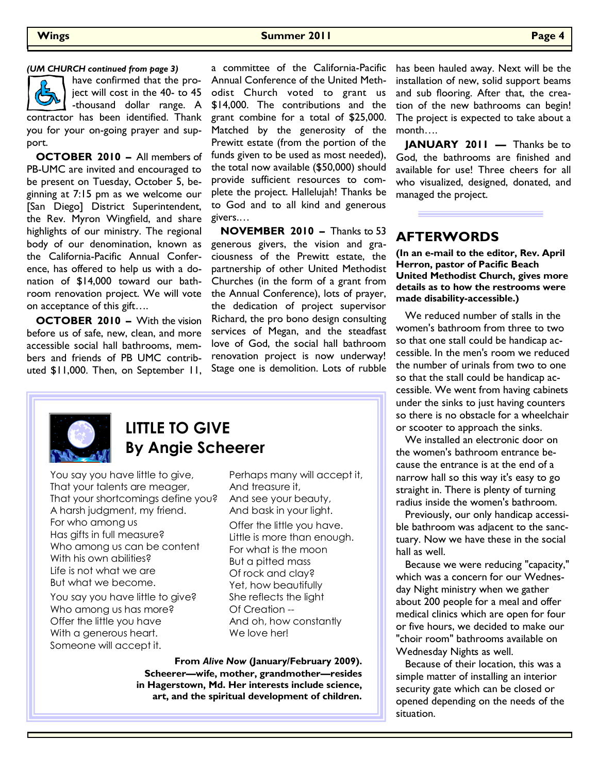#### **Wings Summer 2011 Page 4**



have confirmed that the project will cost in the 40- to 45 -thousand dollar range. A

contractor has been identified. Thank you for your on-going prayer and support.

 **OCTOBER 2010 –** All members of PB-UMC are invited and encouraged to be present on Tuesday, October 5, beginning at 7:15 pm as we welcome our [San Diego] District Superintendent, the Rev. Myron Wingfield, and share highlights of our ministry. The regional body of our denomination, known as the California-Pacific Annual Conference, has offered to help us with a donation of \$14,000 toward our bathroom renovation project. We will vote on acceptance of this gift….

 **OCTOBER 2010 –** With the vision before us of safe, new, clean, and more accessible social hall bathrooms, members and friends of PB UMC contributed \$11,000. Then, on September 11,

*(UM CHURCH continued from page 3)* a committee of the California-Pacific Annual Conference of the United Methodist Church voted to grant us \$14,000. The contributions and the grant combine for a total of \$25,000. Matched by the generosity of the Prewitt estate (from the portion of the funds given to be used as most needed), the total now available (\$50,000) should provide sufficient resources to complete the project. Hallelujah! Thanks be to God and to all kind and generous givers.…

> **NOVEMBER 2010 –** Thanks to 53 generous givers, the vision and graciousness of the Prewitt estate, the partnership of other United Methodist Churches (in the form of a grant from the Annual Conference), lots of prayer, the dedication of project supervisor Richard, the pro bono design consulting services of Megan, and the steadfast love of God, the social hall bathroom renovation project is now underway! Stage one is demolition. Lots of rubble

has been hauled away. Next will be the installation of new, solid support beams and sub flooring. After that, the creation of the new bathrooms can begin! The project is expected to take about a month….

**JANUARY 2011 — Thanks be to** God, the bathrooms are finished and available for use! Three cheers for all who visualized, designed, donated, and managed the project.

### **AFTERWORDS**

**(In an e-mail to the editor, Rev. April Herron, pastor of Pacific Beach United Methodist Church, gives more details as to how the restrooms were made disability-accessible.)** 

 We reduced number of stalls in the women's bathroom from three to two so that one stall could be handicap accessible. In the men's room we reduced the number of urinals from two to one so that the stall could be handicap accessible. We went from having cabinets under the sinks to just having counters so there is no obstacle for a wheelchair or scooter to approach the sinks.

 We installed an electronic door on the women's bathroom entrance because the entrance is at the end of a narrow hall so this way it's easy to go straight in. There is plenty of turning radius inside the women's bathroom.

 Previously, our only handicap accessible bathroom was adjacent to the sanctuary. Now we have these in the social hall as well.

 Because we were reducing "capacity," which was a concern for our Wednesday Night ministry when we gather about 200 people for a meal and offer medical clinics which are open for four or five hours, we decided to make our "choir room" bathrooms available on Wednesday Nights as well.

 Because of their location, this was a simple matter of installing an interior security gate which can be closed or opened depending on the needs of the situation.



### **LITTLE TO GIVE By Angie Scheerer**

You say you have little to give, That your talents are meager, That your shortcomings define you? A harsh judgment, my friend. For who among us Has gifts in full measure? Who among us can be content With his own abilities? Life is not what we are But what we become.

You say you have little to give? Who among us has more? Offer the little you have With a generous heart. Someone will accept it.

Perhaps many will accept it, And treasure it, And see your beauty, And bask in your light.

Offer the little you have. Little is more than enough. For what is the moon But a pitted mass Of rock and clay? Yet, how beautifully She reflects the light Of Creation -- And oh, how constantly We love her!

**From** *Alive Now* **(January/February 2009). Scheerer—wife, mother, grandmother—resides in Hagerstown, Md. Her interests include science, art, and the spiritual development of children.**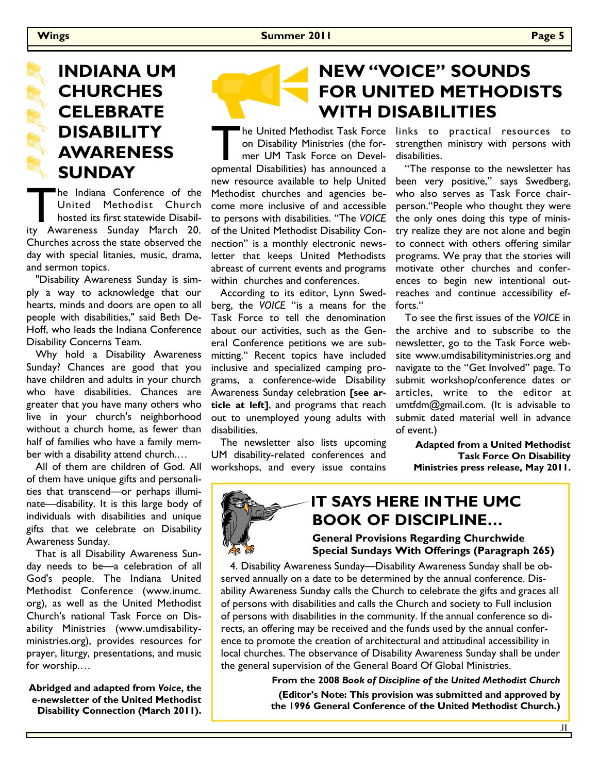# **INDIANA UM CHURCHES CELEBRATE DISABILITY AWARENESS SUNDAY**

The Indiana Conference of the<br>
United Methodist Church<br>
hosted its first statewide Disabil-<br>
ity Awareness Sunday March 20. United Methodist Church hosted its first statewide Disabil-Churches across the state observed the day with special litanies, music, drama, and sermon topics.

 "Disability Awareness Sunday is simply a way to acknowledge that our hearts, minds and doors are open to all people with disabilities," said Beth De-Hoff, who leads the Indiana Conference Disability Concerns Team.

 Why hold a Disability Awareness Sunday? Chances are good that you have children and adults in your church who have disabilities. Chances are greater that you have many others who live in your church's neighborhood without a church home, as fewer than half of families who have a family member with a disability attend church.…

 All of them are children of God. All of them have unique gifts and personalities that transcend—or perhaps illuminate—disability. It is this large body of individuals with disabilities and unique gifts that we celebrate on Disability Awareness Sunday.

 That is all Disability Awareness Sunday needs to be—a celebration of all God's people. The Indiana United Methodist Conference (www.inumc. org), as well as the United Methodist Church's national Task Force on Disability Ministries (www.umdisabilityministries.org), provides resources for prayer, liturgy, presentations, and music for worship.…

**Abridged and adapted from** *Voice***, the e-newsletter of the United Methodist Disability Connection (March 2011).** 

# **NEW "VOICE" SOUNDS FOR UNITED METHODISTS WITH DISABILITIES**

The United Methodist Task Force links to practical resources to<br>
on Disability Ministries (the for-strengthen ministry with persons with<br>
mer UM Task Force on Devel-disabilities.<br>
opmental Disabilities) has announced a "Th on Disability Ministries (the former UM Task Force on Developmental Disabilities) has announced a new resource available to help United Methodist churches and agencies become more inclusive of and accessible to persons with disabilities. "The *VOICE* of the United Methodist Disability Connection" is a monthly electronic newsletter that keeps United Methodists abreast of current events and programs within churches and conferences.

 According to its editor, Lynn Swedberg, the *VOICE* "is a means for the Task Force to tell the denomination about our activities, such as the General Conference petitions we are submitting." Recent topics have included inclusive and specialized camping programs, a conference-wide Disability Awareness Sunday celebration **[see article at left]**, and programs that reach out to unemployed young adults with disabilities.

 The newsletter also lists upcoming UM disability-related conferences and workshops, and every issue contains strengthen ministry with persons with disabilities.

 "The response to the newsletter has been very positive," says Swedberg, who also serves as Task Force chairperson."People who thought they were the only ones doing this type of ministry realize they are not alone and begin to connect with others offering similar programs. We pray that the stories will motivate other churches and conferences to begin new intentional outreaches and continue accessibility efforts."

 To see the first issues of the *VOICE* in the archive and to subscribe to the newsletter, go to the Task Force website www.umdisabilityministries.org and navigate to the "Get Involved" page. To submit workshop/conference dates or articles, write to the editor at umtfdm@gmail.com. (It is advisable to submit dated material well in advance of event.)

**Adapted from a United Methodist Task Force On Disability Ministries press release, May 2011.** 

# **IT SAYS HERE IN THE UMC BOOK OF DISCIPLINE…**

**General Provisions Regarding Churchwide** 

 **Special Sundays With Offerings (Paragraph 265)**  4. Disability Awareness Sunday—Disability Awareness Sunday shall be observed annually on a date to be determined by the annual conference. Dis-

ability Awareness Sunday calls the Church to celebrate the gifts and graces all of persons with disabilities and calls the Church and society to Full inclusion of persons with disabilities in the community. If the annual conference so directs, an offering may be received and the funds used by the annual conference to promote the creation of architectural and attitudinal accessibility in local churches. The observance of Disability Awareness Sunday shall be under the general supervision of the General Board Of Global Ministries.

**From the 2008** *Book of Discipline of the United Methodist Church*

**(Editor's Note: This provision was submitted and approved by the 1996 General Conference of the United Methodist Church.)**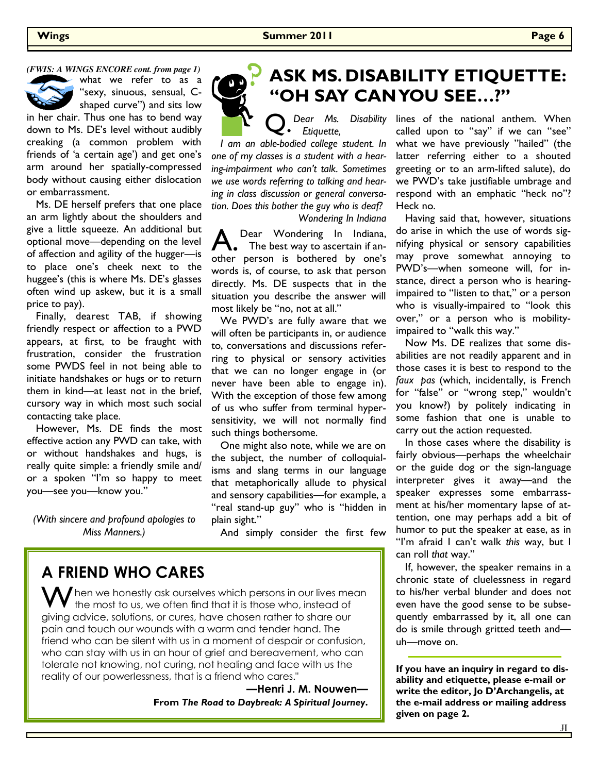*(FWIS: A WINGS ENCORE cont. from page 1)* 



what we refer to as a "sexy, sinuous, sensual, Cshaped curve") and sits low

in her chair. Thus one has to bend way down to Ms. DE's level without audibly creaking (a common problem with friends of 'a certain age') and get one's arm around her spatially-compressed body without causing either dislocation or embarrassment.

 Ms. DE herself prefers that one place an arm lightly about the shoulders and give a little squeeze. An additional but optional move—depending on the level of affection and agility of the hugger—is to place one's cheek next to the huggee's (this is where Ms. DE's glasses often wind up askew, but it is a small price to pay).

 Finally, dearest TAB, if showing friendly respect or affection to a PWD appears, at first, to be fraught with frustration, consider the frustration some PWDS feel in not being able to initiate handshakes or hugs or to return them in kind—at least not in the brief, cursory way in which most such social contacting take place.

 However, Ms. DE finds the most effective action any PWD can take, with or without handshakes and hugs, is really quite simple: a friendly smile and/ or a spoken "I'm so happy to meet you—see you—know you."

*(With sincere and profound apologies to Miss Manners.)*



# **ASK MS. DISABILITY ETIQUETTE: "OH SAY CAN YOU SEE…?"**

#### Q. *Dear Ms. Disability Etiquette,*

 *I am an able-bodied college student. In one of my classes is a student with a hearing-impairment who can't talk. Sometimes we use words referring to talking and hearing in class discussion or general conversation. Does this bother the guy who is deaf? Wondering In Indiana* 

A. Dear Wondering In Indiana,<br>
The best way to ascertain if another person is bothered by one's words is, of course, to ask that person directly. Ms. DE suspects that in the situation you describe the answer will most likely be "no, not at all."

 We PWD's are fully aware that we will often be participants in, or audience to, conversations and discussions referring to physical or sensory activities that we can no longer engage in (or never have been able to engage in). With the exception of those few among of us who suffer from terminal hypersensitivity, we will not normally find such things bothersome.

 One might also note, while we are on the subject, the number of colloquialisms and slang terms in our language that metaphorically allude to physical and sensory capabilities—for example, a "real stand-up guy" who is "hidden in plain sight."

And simply consider the first few

### **A FRIEND WHO CARES**

 $\bigwedge$  hen we honestly ask ourselves which persons in our lives mean the most to us, we often find that it is those who, instead of giving advice, solutions, or cures, have chosen rather to share our pain and touch our wounds with a warm and tender hand. The friend who can be silent with us in a moment of despair or confusion, who can stay with us in an hour of grief and bereavement, who can tolerate not knowing, not curing, not healing and face with us the reality of our powerlessness, that is a friend who cares."

> **—Henri J. M. Nouwen— From** *The Road to Daybreak: A Spiritual Journey***.**

lines of the national anthem. When called upon to "say" if we can "see" what we have previously "hailed" (the latter referring either to a shouted greeting or to an arm-lifted salute), do we PWD's take justifiable umbrage and respond with an emphatic "heck no"? Heck no.

 Having said that, however, situations do arise in which the use of words signifying physical or sensory capabilities may prove somewhat annoying to PWD's—when someone will, for instance, direct a person who is hearingimpaired to "listen to that," or a person who is visually-impaired to "look this over," or a person who is mobilityimpaired to "walk this way."

 Now Ms. DE realizes that some disabilities are not readily apparent and in those cases it is best to respond to the *faux pas* (which, incidentally, is French for "false" or "wrong step," wouldn't you know?) by politely indicating in some fashion that one is unable to carry out the action requested.

 In those cases where the disability is fairly obvious—perhaps the wheelchair or the guide dog or the sign-language interpreter gives it away—and the speaker expresses some embarrassment at his/her momentary lapse of attention, one may perhaps add a bit of humor to put the speaker at ease, as in "I'm afraid I can't walk *this* way, but I can roll *that* way."

 If, however, the speaker remains in a chronic state of cluelessness in regard to his/her verbal blunder and does not even have the good sense to be subsequently embarrassed by it, all one can do is smile through gritted teeth and uh—move on.

**If you have an inquiry in regard to disability and etiquette, please e-mail or write the editor, Jo D'Archangelis, at the e-mail address or mailing address given on page 2.**

If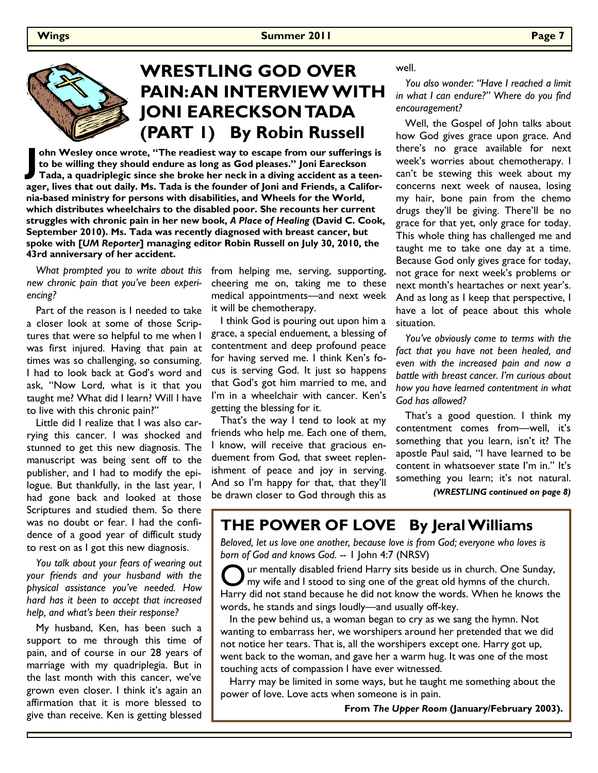

# **WRESTLING GOD OVER PAIN: AN INTERVIEW WITH JONI EARECKSON TADA (PART 1) By Robin Russell**

**J ohn Wesley once wrote, "The readiest way to escape from our sufferings is to be willing they should endure as long as God pleases." Joni Eareckson Tada, a quadriplegic since she broke her neck in a diving accident as a teenager, lives that out daily. Ms. Tada is the founder of Joni and Friends, a California-based ministry for persons with disabilities, and Wheels for the World, which distributes wheelchairs to the disabled poor. She recounts her current struggles with chronic pain in her new book,** *A Place of Healing* **(David C. Cook, September 2010). Ms. Tada was recently diagnosed with breast cancer, but spoke with [***UM Reporter***] managing editor Robin Russell on July 30, 2010, the 43rd anniversary of her accident.** 

 *What prompted you to write about this new chronic pain that you've been experiencing?* 

 Part of the reason is I needed to take a closer look at some of those Scriptures that were so helpful to me when I was first injured. Having that pain at times was so challenging, so consuming. I had to look back at God's word and ask, "Now Lord, what is it that you taught me? What did I learn? Will I have to live with this chronic pain?"

 Little did I realize that I was also carrying this cancer. I was shocked and stunned to get this new diagnosis. The manuscript was being sent off to the publisher, and I had to modify the epilogue. But thankfully, in the last year, I had gone back and looked at those Scriptures and studied them. So there was no doubt or fear. I had the confidence of a good year of difficult study to rest on as I got this new diagnosis.

 *You talk about your fears of wearing out your friends and your husband with the physical assistance you've needed. How hard has it been to accept that increased help, and what's been their response?* 

 My husband, Ken, has been such a support to me through this time of pain, and of course in our 28 years of marriage with my quadriplegia. But in the last month with this cancer, we've grown even closer. I think it's again an affirmation that it is more blessed to give than receive. Ken is getting blessed

from helping me, serving, supporting, cheering me on, taking me to these medical appointments—and next week it will be chemotherapy.

 I think God is pouring out upon him a grace, a special enduement, a blessing of contentment and deep profound peace for having served me. I think Ken's focus is serving God. It just so happens that God's got him married to me, and I'm in a wheelchair with cancer. Ken's getting the blessing for it.

 That's the way I tend to look at my friends who help me. Each one of them, I know, will receive that gracious enduement from God, that sweet replenishment of peace and joy in serving. And so I'm happy for that, that they'll be drawn closer to God through this as

well.

 *You also wonder: "Have I reached a limit in what I can endure?" Where do you find encouragement?* 

 Well, the Gospel of John talks about how God gives grace upon grace. And there's no grace available for next week's worries about chemotherapy. I can't be stewing this week about my concerns next week of nausea, losing my hair, bone pain from the chemo drugs they'll be giving. There'll be no grace for that yet, only grace for today. This whole thing has challenged me and taught me to take one day at a time. Because God only gives grace for today, not grace for next week's problems or next month's heartaches or next year's. And as long as I keep that perspective, I have a lot of peace about this whole situation.

 *You've obviously come to terms with the fact that you have not been healed, and even with the increased pain and now a battle with breast cancer. I'm curious about how you have learned contentment in what God has allowed?* 

 That's a good question. I think my contentment comes from—well, it's something that you learn, isn't it? The apostle Paul said, "I have learned to be content in whatsoever state I'm in." It's something you learn; it's not natural.

*(WRESTLING continued on page 8)* 

### **THE POWER OF LOVE By Jeral Williams**

*Beloved, let us love one another, because love is from God; everyone who loves is born of God and knows God.* -- 1 John 4:7 (NRSV)

ur mentally disabled friend Harry sits beside us in church. One Sunday, my wife and I stood to sing one of the great old hymns of the church. Harry did not stand because he did not know the words. When he knows the words, he stands and sings loudly—and usually off-key.

 In the pew behind us, a woman began to cry as we sang the hymn. Not wanting to embarrass her, we worshipers around her pretended that we did not notice her tears. That is, all the worshipers except one. Harry got up, went back to the woman, and gave her a warm hug. It was one of the most touching acts of compassion I have ever witnessed.

 Harry may be limited in some ways, but he taught me something about the power of love. Love acts when someone is in pain.

**From** *The Upper Room* **(January/February 2003).**